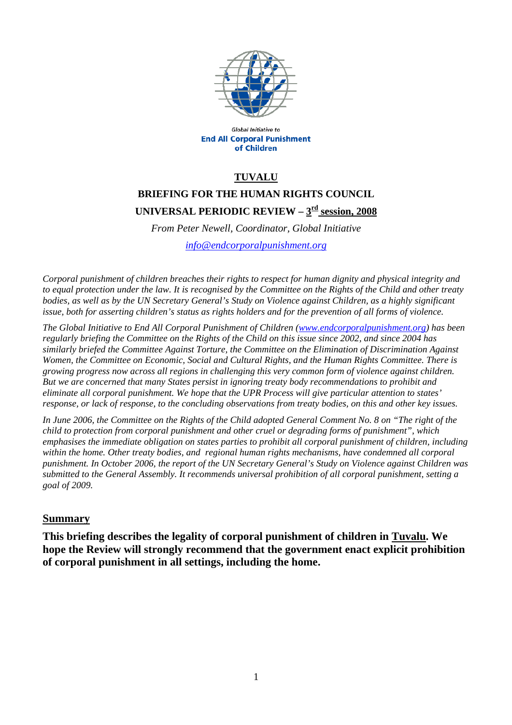

Global Initiative to **End All Corporal Punishment** of Children

### **TUVALU**

# **BRIEFING FOR THE HUMAN RIGHTS COUNCIL**  UNIVERSAL PERIODIC REVIEW -  $3^{\frac{rd}{}}$  session, 2008

*From Peter Newell, Coordinator, Global Initiative [info@endcorporalpunishment.org](mailto:info@endcorporalpunishment.org)*

*Corporal punishment of children breaches their rights to respect for human dignity and physical integrity and to equal protection under the law. It is recognised by the Committee on the Rights of the Child and other treaty bodies, as well as by the UN Secretary General's Study on Violence against Children, as a highly significant issue, both for asserting children's status as rights holders and for the prevention of all forms of violence.* 

*The Global Initiative to End All Corporal Punishment of Children [\(www.endcorporalpunishment.org](http://www.endcorporalpunishment.org/)) has been regularly briefing the Committee on the Rights of the Child on this issue since 2002, and since 2004 has similarly briefed the Committee Against Torture, the Committee on the Elimination of Discrimination Against Women, the Committee on Economic, Social and Cultural Rights, and the Human Rights Committee. There is growing progress now across all regions in challenging this very common form of violence against children. But we are concerned that many States persist in ignoring treaty body recommendations to prohibit and eliminate all corporal punishment. We hope that the UPR Process will give particular attention to states' response, or lack of response, to the concluding observations from treaty bodies, on this and other key issues.* 

*In June 2006, the Committee on the Rights of the Child adopted General Comment No. 8 on "The right of the child to protection from corporal punishment and other cruel or degrading forms of punishment", which emphasises the immediate obligation on states parties to prohibit all corporal punishment of children, including within the home. Other treaty bodies, and regional human rights mechanisms, have condemned all corporal punishment. In October 2006, the report of the UN Secretary General's Study on Violence against Children was submitted to the General Assembly. It recommends universal prohibition of all corporal punishment, setting a goal of 2009.*

#### **Summary**

**This briefing describes the legality of corporal punishment of children in Tuvalu. We hope the Review will strongly recommend that the government enact explicit prohibition of corporal punishment in all settings, including the home.**